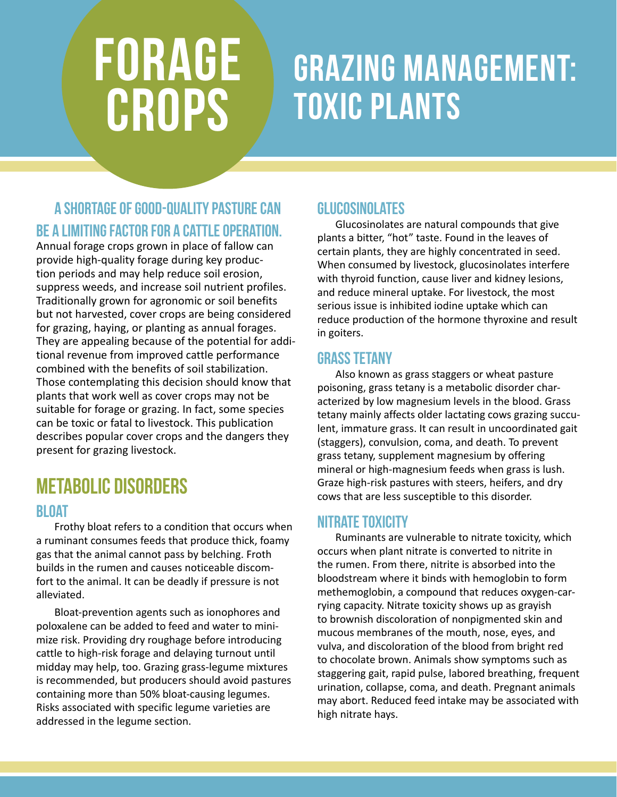# forage crops

# grazing management: toxic plants

### A Shortage of good-quality pasture can be a limiting factor for a cattle operation.

Annual forage crops grown in place of fallow can provide high-quality forage during key production periods and may help reduce soil erosion, suppress weeds, and increase soil nutrient profiles. Traditionally grown for agronomic or soil benefits but not harvested, cover crops are being considered for grazing, haying, or planting as annual forages. They are appealing because of the potential for additional revenue from improved cattle performance combined with the benefits of soil stabilization. Those contemplating this decision should know that plants that work well as cover crops may not be suitable for forage or grazing. In fact, some species can be toxic or fatal to livestock. This publication describes popular cover crops and the dangers they present for grazing livestock.

# Metabolic disorders

#### Bloat

Frothy bloat refers to a condition that occurs when a ruminant consumes feeds that produce thick, foamy gas that the animal cannot pass by belching. Froth builds in the rumen and causes noticeable discomfort to the animal. It can be deadly if pressure is not alleviated.

Bloat-prevention agents such as ionophores and poloxalene can be added to feed and water to minimize risk. Providing dry roughage before introducing cattle to high-risk forage and delaying turnout until midday may help, too. Grazing grass-legume mixtures is recommended, but producers should avoid pastures containing more than 50% bloat-causing legumes. Risks associated with specific legume varieties are addressed in the legume section.

#### Glucosinolates

Glucosinolates are natural compounds that give plants a bitter, "hot" taste. Found in the leaves of certain plants, they are highly concentrated in seed. When consumed by livestock, glucosinolates interfere with thyroid function, cause liver and kidney lesions, and reduce mineral uptake. For livestock, the most serious issue is inhibited iodine uptake which can reduce production of the hormone thyroxine and result in goiters.

#### Grass Tetany

Also known as grass staggers or wheat pasture poisoning, grass tetany is a metabolic disorder characterized by low magnesium levels in the blood. Grass tetany mainly affects older lactating cows grazing succulent, immature grass. It can result in uncoordinated gait (staggers), convulsion, coma, and death. To prevent grass tetany, supplement magnesium by offering mineral or high-magnesium feeds when grass is lush. Graze high-risk pastures with steers, heifers, and dry cows that are less susceptible to this disorder.

#### Nitrate toxicity

Ruminants are vulnerable to nitrate toxicity, which occurs when plant nitrate is converted to nitrite in the rumen. From there, nitrite is absorbed into the bloodstream where it binds with hemoglobin to form methemoglobin, a compound that reduces oxygen-carrying capacity. Nitrate toxicity shows up as grayish to brownish discoloration of nonpigmented skin and mucous membranes of the mouth, nose, eyes, and vulva, and discoloration of the blood from bright red to chocolate brown. Animals show symptoms such as staggering gait, rapid pulse, labored breathing, frequent urination, collapse, coma, and death. Pregnant animals may abort. Reduced feed intake may be associated with high nitrate hays.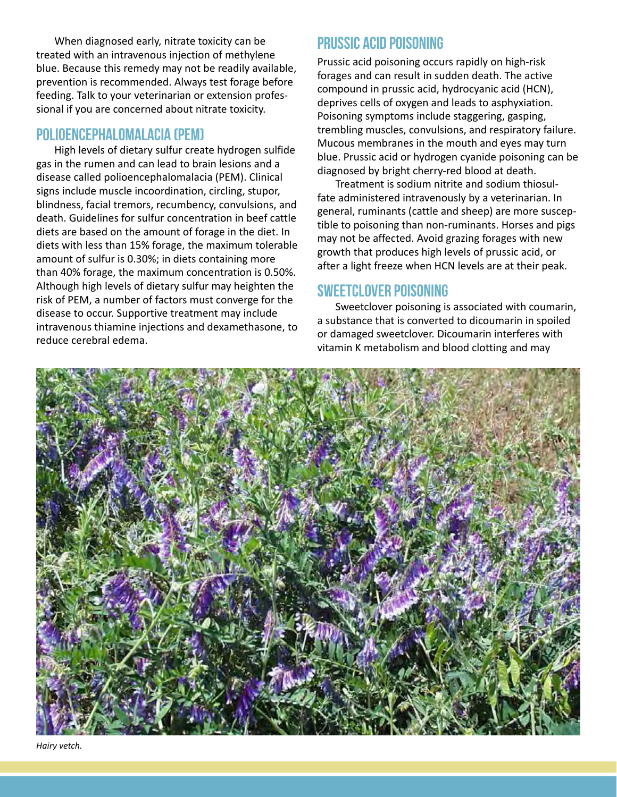When diagnosed early, nitrate toxicity can be treated with an intravenous injection of methylene blue. Because this remedy may not be readily available, prevention is recommended. Always test forage before feeding. Talk to your veterinarian or extension professional if you are concerned about nitrate toxicity.

#### Polioencephalomalacia (PEM)

High levels of dietary sulfur create hydrogen sulfide gas in the rumen and can lead to brain lesions and a disease called polioencephalomalacia (PEM). Clinical signs include muscle incoordination, circling, stupor, blindness, facial tremors, recumbency, convulsions, and death. Guidelines for sulfur concentration in beef cattle diets are based on the amount of forage in the diet. In diets with less than 15% forage, the maximum tolerable amount of sulfur is 0.30%; in diets containing more than 40% forage, the maximum concentration is 0.50%. Although high levels of dietary sulfur may heighten the risk of PEM, a number of factors must converge for the disease to occur. Supportive treatment may include intravenous thiamine injections and dexamethasone, to reduce cerebral edema.

#### Prussic Acid Poisoning

Prussic acid poisoning occurs rapidly on high-risk forages and can result in sudden death. The active compound in prussic acid, hydrocyanic acid (HCN), deprives cells of oxygen and leads to asphyxiation. Poisoning symptoms include staggering, gasping, trembling muscles, convulsions, and respiratory failure. Mucous membranes in the mouth and eyes may turn blue. Prussic acid or hydrogen cyanide poisoning can be diagnosed by bright cherry-red blood at death.

Treatment is sodium nitrite and sodium thiosulfate administered intravenously by a veterinarian. In general, ruminants (cattle and sheep) are more susceptible to poisoning than non-ruminants. Horses and pigs may not be affected. Avoid grazing forages with new growth that produces high levels of prussic acid, or after a light freeze when HCN levels are at their peak.

#### SWEETCLOVER POISONING

Sweetclover poisoning is associated with coumarin, a substance that is converted to dicoumarin in spoiled or damaged sweetclover. Dicoumarin interferes with vitamin K metabolism and blood clotting and may



*Hairy vetch.*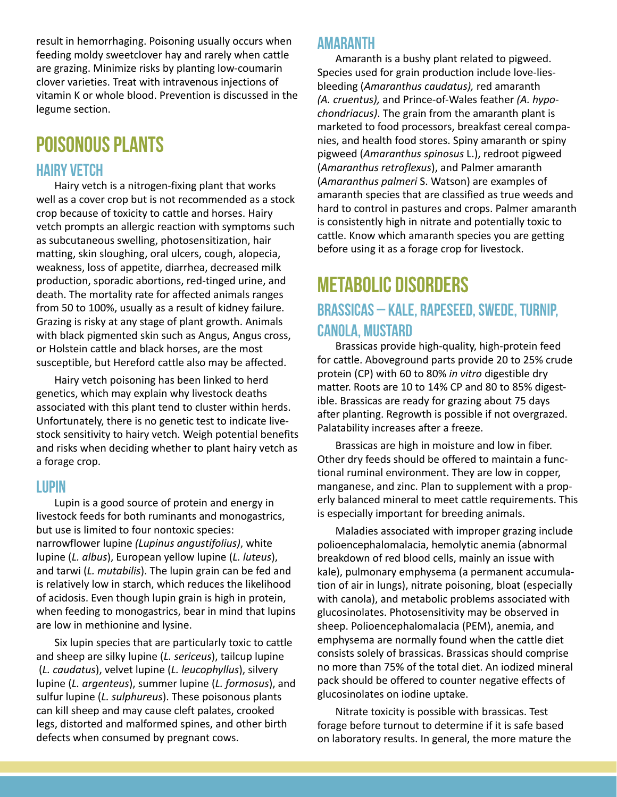result in hemorrhaging. Poisoning usually occurs when feeding moldy sweetclover hay and rarely when cattle are grazing. Minimize risks by planting low-coumarin clover varieties. Treat with intravenous injections of vitamin K or whole blood. Prevention is discussed in the legume section.

# Poisonous Plants

#### Hairy vetch

Hairy vetch is a nitrogen-fixing plant that works well as a cover crop but is not recommended as a stock crop because of toxicity to cattle and horses. Hairy vetch prompts an allergic reaction with symptoms such as subcutaneous swelling, photosensitization, hair matting, skin sloughing, oral ulcers, cough, alopecia, weakness, loss of appetite, diarrhea, decreased milk production, sporadic abortions, red-tinged urine, and death. The mortality rate for affected animals ranges from 50 to 100%, usually as a result of kidney failure. Grazing is risky at any stage of plant growth. Animals with black pigmented skin such as Angus, Angus cross, or Holstein cattle and black horses, are the most susceptible, but Hereford cattle also may be affected.

Hairy vetch poisoning has been linked to herd genetics, which may explain why livestock deaths associated with this plant tend to cluster within herds. Unfortunately, there is no genetic test to indicate livestock sensitivity to hairy vetch. Weigh potential benefits and risks when deciding whether to plant hairy vetch as a forage crop.

#### **LUPIN**

Lupin is a good source of protein and energy in livestock feeds for both ruminants and monogastrics, but use is limited to four nontoxic species: narrowflower lupine *(Lupinus angustifolius)*, white lupine (*L. albus*), European yellow lupine (*L. luteus*), and tarwi (*L. mutabilis*). The lupin grain can be fed and is relatively low in starch, which reduces the likelihood of acidosis. Even though lupin grain is high in protein, when feeding to monogastrics, bear in mind that lupins are low in methionine and lysine.

Six lupin species that are particularly toxic to cattle and sheep are silky lupine (*L. sericeus*), tailcup lupine (*L. caudatus*), velvet lupine (*L. leucophyllus*), silvery lupine (*L. argenteus*), summer lupine (*L. formosus*), and sulfur lupine (*L. sulphureus*). These poisonous plants can kill sheep and may cause cleft palates, crooked legs, distorted and malformed spines, and other birth defects when consumed by pregnant cows.

#### **AMARANTH**

Amaranth is a bushy plant related to pigweed. Species used for grain production include love-liesbleeding (*Amaranthus caudatus),* red amaranth *(A. cruentus),* and Prince-of-Wales feather *(A. hypochondriacus)*. The grain from the amaranth plant is marketed to food processors, breakfast cereal companies, and health food stores. Spiny amaranth or spiny pigweed (*Amaranthus spinosus* L.), redroot pigweed (*Amaranthus retroflexus*), and Palmer amaranth (*Amaranthus palmeri* S. Watson) are examples of amaranth species that are classified as true weeds and hard to control in pastures and crops. Palmer amaranth is consistently high in nitrate and potentially toxic to cattle. Know which amaranth species you are getting before using it as a forage crop for livestock.

## Metabolic disorders

#### Brassicas – Kale, rapeseed, swede, turnip, canola, mustard

Brassicas provide high-quality, high-protein feed for cattle. Aboveground parts provide 20 to 25% crude protein (CP) with 60 to 80% *in vitro* digestible dry matter. Roots are 10 to 14% CP and 80 to 85% digestible. Brassicas are ready for grazing about 75 days after planting. Regrowth is possible if not overgrazed. Palatability increases after a freeze.

Brassicas are high in moisture and low in fiber. Other dry feeds should be offered to maintain a functional ruminal environment. They are low in copper, manganese, and zinc. Plan to supplement with a properly balanced mineral to meet cattle requirements. This is especially important for breeding animals.

Maladies associated with improper grazing include polioencephalomalacia, hemolytic anemia (abnormal breakdown of red blood cells, mainly an issue with kale), pulmonary emphysema (a permanent accumulation of air in lungs), nitrate poisoning, bloat (especially with canola), and metabolic problems associated with glucosinolates. Photosensitivity may be observed in sheep. Polioencephalomalacia (PEM), anemia, and emphysema are normally found when the cattle diet consists solely of brassicas. Brassicas should comprise no more than 75% of the total diet. An iodized mineral pack should be offered to counter negative effects of glucosinolates on iodine uptake.

Nitrate toxicity is possible with brassicas. Test forage before turnout to determine if it is safe based on laboratory results. In general, the more mature the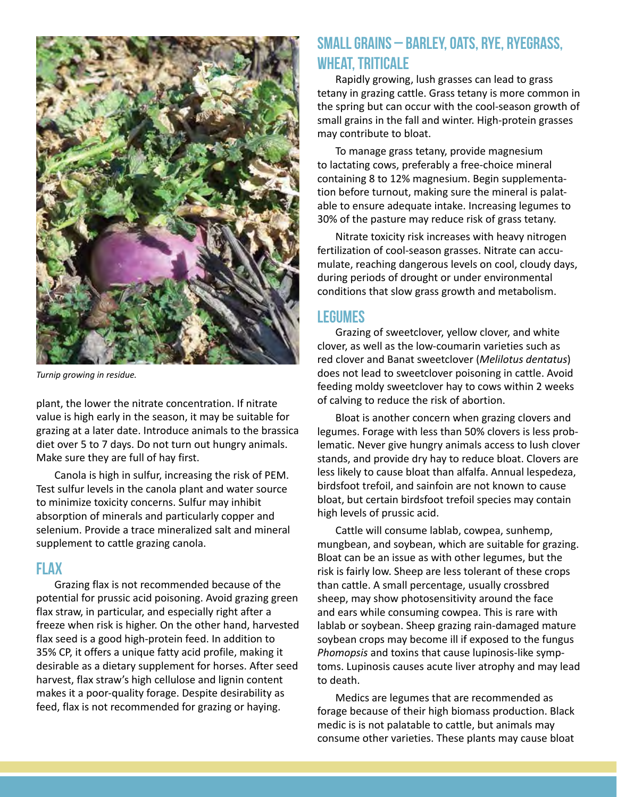

*Turnip growing in residue.*

plant, the lower the nitrate concentration. If nitrate value is high early in the season, it may be suitable for grazing at a later date. Introduce animals to the brassica diet over 5 to 7 days. Do not turn out hungry animals. Make sure they are full of hay first.

Canola is high in sulfur, increasing the risk of PEM. Test sulfur levels in the canola plant and water source to minimize toxicity concerns. Sulfur may inhibit absorption of minerals and particularly copper and selenium. Provide a trace mineralized salt and mineral supplement to cattle grazing canola.

#### Flax

Grazing flax is not recommended because of the potential for prussic acid poisoning. Avoid grazing green flax straw, in particular, and especially right after a freeze when risk is higher. On the other hand, harvested flax seed is a good high-protein feed. In addition to 35% CP, it offers a unique fatty acid profile, making it desirable as a dietary supplement for horses. After seed harvest, flax straw's high cellulose and lignin content makes it a poor-quality forage. Despite desirability as feed, flax is not recommended for grazing or haying.

#### Small grains – Barley, Oats, Rye, Ryegrass, WHEAT, TRITICALE

Rapidly growing, lush grasses can lead to grass tetany in grazing cattle. Grass tetany is more common in the spring but can occur with the cool-season growth of small grains in the fall and winter. High-protein grasses may contribute to bloat.

To manage grass tetany, provide magnesium to lactating cows, preferably a free-choice mineral containing 8 to 12% magnesium. Begin supplementation before turnout, making sure the mineral is palatable to ensure adequate intake. Increasing legumes to 30% of the pasture may reduce risk of grass tetany.

Nitrate toxicity risk increases with heavy nitrogen fertilization of cool-season grasses. Nitrate can accumulate, reaching dangerous levels on cool, cloudy days, during periods of drought or under environmental conditions that slow grass growth and metabolism.

#### **LEGUMES**

Grazing of sweetclover, yellow clover, and white clover, as well as the low-coumarin varieties such as red clover and Banat sweetclover (*Melilotus dentatus*) does not lead to sweetclover poisoning in cattle. Avoid feeding moldy sweetclover hay to cows within 2 weeks of calving to reduce the risk of abortion.

Bloat is another concern when grazing clovers and legumes. Forage with less than 50% clovers is less problematic. Never give hungry animals access to lush clover stands, and provide dry hay to reduce bloat. Clovers are less likely to cause bloat than alfalfa. Annual lespedeza, birdsfoot trefoil, and sainfoin are not known to cause bloat, but certain birdsfoot trefoil species may contain high levels of prussic acid.

Cattle will consume lablab, cowpea, sunhemp, mungbean, and soybean, which are suitable for grazing. Bloat can be an issue as with other legumes, but the risk is fairly low. Sheep are less tolerant of these crops than cattle. A small percentage, usually crossbred sheep, may show photosensitivity around the face and ears while consuming cowpea. This is rare with lablab or soybean. Sheep grazing rain-damaged mature soybean crops may become ill if exposed to the fungus *Phomopsis* and toxins that cause lupinosis-like symptoms. Lupinosis causes acute liver atrophy and may lead to death.

Medics are legumes that are recommended as forage because of their high biomass production. Black medic is is not palatable to cattle, but animals may consume other varieties. These plants may cause bloat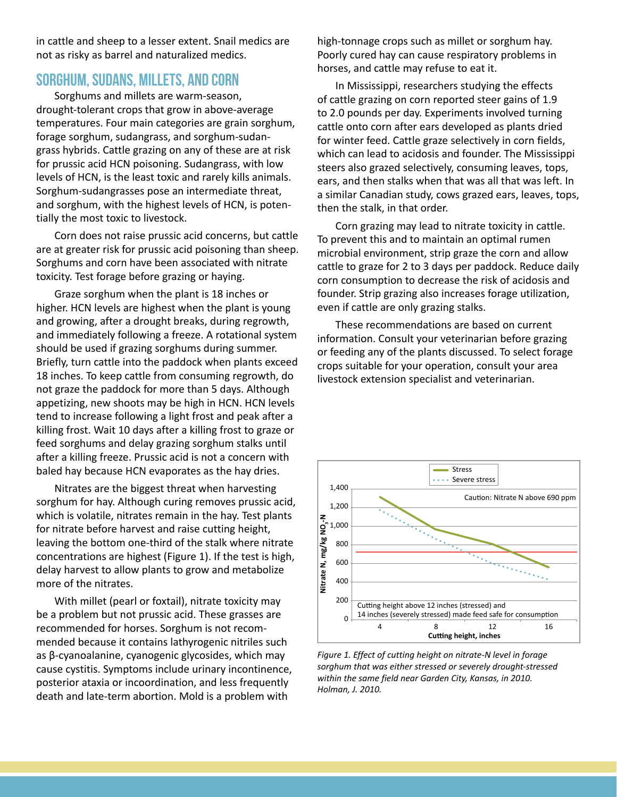in cattle and sheep to a lesser extent. Snail medics are not as risky as barrel and naturalized medics.

#### Sorghum, Sudans, Millets, and Corn

Sorghums and millets are warm-season, drought-tolerant crops that grow in above-average temperatures. Four main categories are grain sorghum, forage sorghum, sudangrass, and sorghum-sudangrass hybrids. Cattle grazing on any of these are at risk for prussic acid HCN poisoning. Sudangrass, with low levels of HCN, is the least toxic and rarely kills animals. Sorghum-sudangrasses pose an intermediate threat, and sorghum, with the highest levels of HCN, is potentially the most toxic to livestock.

Corn does not raise prussic acid concerns, but cattle are at greater risk for prussic acid poisoning than sheep. Sorghums and corn have been associated with nitrate toxicity. Test forage before grazing or haying.

Graze sorghum when the plant is 18 inches or higher. HCN levels are highest when the plant is young and growing, after a drought breaks, during regrowth, and immediately following a freeze. A rotational system should be used if grazing sorghums during summer. Briefly, turn cattle into the paddock when plants exceed 18 inches. To keep cattle from consuming regrowth, do not graze the paddock for more than 5 days. Although appetizing, new shoots may be high in HCN. HCN levels tend to increase following a light frost and peak after a killing frost. Wait 10 days after a killing frost to graze or feed sorghums and delay grazing sorghum stalks until after a killing freeze. Prussic acid is not a concern with baled hay because HCN evaporates as the hay dries.

Nitrates are the biggest threat when harvesting sorghum for hay. Although curing removes prussic acid, which is volatile, nitrates remain in the hay. Test plants for nitrate before harvest and raise cutting height, leaving the bottom one-third of the stalk where nitrate concentrations are highest (Figure 1). If the test is high, delay harvest to allow plants to grow and metabolize more of the nitrates.

With millet (pearl or foxtail), nitrate toxicity may be a problem but not prussic acid. These grasses are recommended for horses. Sorghum is not recommended because it contains lathyrogenic nitriles such as β-cyanoalanine, cyanogenic glycosides, which may cause cystitis. Symptoms include urinary incontinence, posterior ataxia or incoordination, and less frequently death and late-term abortion. Mold is a problem with

high-tonnage crops such as millet or sorghum hay. Poorly cured hay can cause respiratory problems in horses, and cattle may refuse to eat it.

In Mississippi, researchers studying the effects of cattle grazing on corn reported steer gains of 1.9 to 2.0 pounds per day. Experiments involved turning cattle onto corn after ears developed as plants dried for winter feed. Cattle graze selectively in corn fields, which can lead to acidosis and founder. The Mississippi steers also grazed selectively, consuming leaves, tops, ears, and then stalks when that was all that was left. In a similar Canadian study, cows grazed ears, leaves, tops, then the stalk, in that order.

Corn grazing may lead to nitrate toxicity in cattle. To prevent this and to maintain an optimal rumen microbial environment, strip graze the corn and allow cattle to graze for 2 to 3 days per paddock. Reduce daily corn consumption to decrease the risk of acidosis and founder. Strip grazing also increases forage utilization, even if cattle are only grazing stalks.

These recommendations are based on current information. Consult your veterinarian before grazing or feeding any of the plants discussed. To select forage crops suitable for your operation, consult your area livestock extension specialist and veterinarian.



*Figure 1. Effect of cutting height on nitrate-N level in forage sorghum that was either stressed or severely drought-stressed within the same field near Garden City, Kansas, in 2010. Holman, J. 2010.*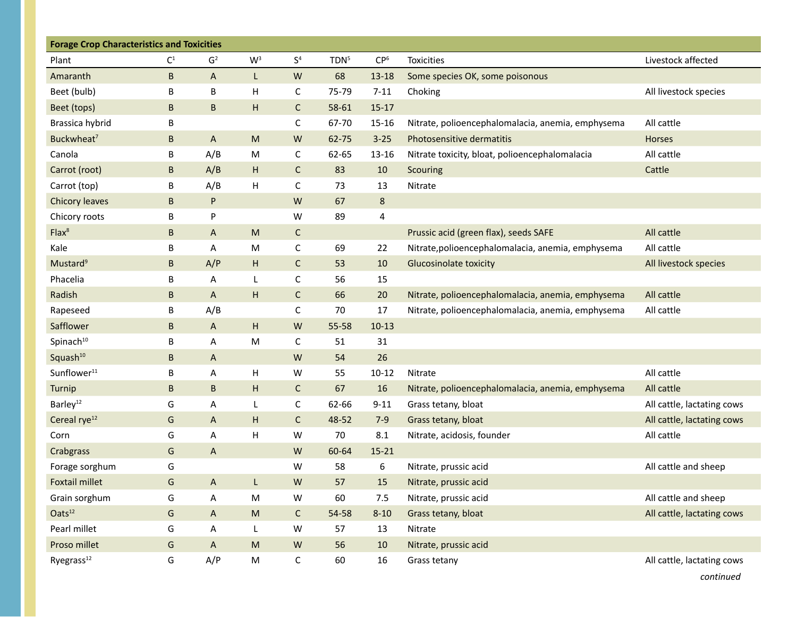| <b>Forage Crop Characteristics and Toxicities</b> |                |                |                |                |                  |                 |                                                    |                            |  |  |
|---------------------------------------------------|----------------|----------------|----------------|----------------|------------------|-----------------|----------------------------------------------------|----------------------------|--|--|
| Plant                                             | $\mathsf{C}^1$ | G <sup>2</sup> | W <sup>3</sup> | $\mathsf{S}^4$ | TDN <sup>5</sup> | CP <sup>6</sup> | Toxicities                                         | Livestock affected         |  |  |
| Amaranth                                          | B              | $\sf A$        | L              | ${\sf W}$      | 68               | 13-18           | Some species OK, some poisonous                    |                            |  |  |
| Beet (bulb)                                       | В              | B              | н              | C              | 75-79            | $7 - 11$        | Choking                                            | All livestock species      |  |  |
| Beet (tops)                                       | B              | $\sf B$        | H              | $\mathsf{C}$   | 58-61            | $15 - 17$       |                                                    |                            |  |  |
| Brassica hybrid                                   | B              |                |                | $\mathsf C$    | 67-70            | 15-16           | Nitrate, polioencephalomalacia, anemia, emphysema  | All cattle                 |  |  |
| Buckwheat <sup>7</sup>                            | B              | A              | ${\sf M}$      | ${\sf W}$      | 62-75            | $3 - 25$        | Photosensitive dermatitis                          | <b>Horses</b>              |  |  |
| Canola                                            | В              | A/B            | M              | $\mathsf C$    | 62-65            | 13-16           | Nitrate toxicity, bloat, polioencephalomalacia     | All cattle                 |  |  |
| Carrot (root)                                     | B              | A/B            | H              | $\mathsf{C}$   | 83               | 10              | Scouring                                           | Cattle                     |  |  |
| Carrot (top)                                      | В              | A/B            | н              | $\mathsf C$    | 73               | 13              | Nitrate                                            |                            |  |  |
| Chicory leaves                                    | B              | P              |                | ${\sf W}$      | 67               | $\bf 8$         |                                                    |                            |  |  |
| Chicory roots                                     | В              | P              |                | W              | 89               | 4               |                                                    |                            |  |  |
| Flax <sup>8</sup>                                 | B              | A              | ${\sf M}$      | $\mathsf C$    |                  |                 | Prussic acid (green flax), seeds SAFE              | All cattle                 |  |  |
| Kale                                              | В              | Α              | M              | C              | 69               | 22              | Nitrate, polioence phalomalacia, anemia, emphysema | All cattle                 |  |  |
| Mustard <sup>9</sup>                              | B              | A/P            | Н              | $\mathsf{C}$   | 53               | 10              | <b>Glucosinolate toxicity</b>                      | All livestock species      |  |  |
| Phacelia                                          | В              | Α              | L              | C              | 56               | 15              |                                                    |                            |  |  |
| Radish                                            | B              | A              | Н              | $\mathsf{C}$   | 66               | 20              | Nitrate, polioencephalomalacia, anemia, emphysema  | All cattle                 |  |  |
| Rapeseed                                          | B              | A/B            |                | $\mathsf C$    | 70               | 17              | Nitrate, polioencephalomalacia, anemia, emphysema  | All cattle                 |  |  |
| Safflower                                         | B              | A              | H              | ${\sf W}$      | 55-58            | $10-13$         |                                                    |                            |  |  |
| Spinach <sup>10</sup>                             | В              | Α              | M              | $\mathsf C$    | 51               | 31              |                                                    |                            |  |  |
| Squash <sup>10</sup>                              | B              | A              |                | ${\sf W}$      | 54               | 26              |                                                    |                            |  |  |
| Sunflower <sup>11</sup>                           | В              | Α              | H              | W              | 55               | $10 - 12$       | Nitrate                                            | All cattle                 |  |  |
| Turnip                                            | B              | B              | Н              | $\mathsf{C}$   | 67               | 16              | Nitrate, polioencephalomalacia, anemia, emphysema  | All cattle                 |  |  |
| Barley <sup>12</sup>                              | G              | Α              | L              | C              | 62-66            | $9 - 11$        | Grass tetany, bloat                                | All cattle, lactating cows |  |  |
| Cereal rye <sup>12</sup>                          | G              | A              | H              | $\mathsf{C}$   | 48-52            | $7-9$           | Grass tetany, bloat                                | All cattle, lactating cows |  |  |
| Corn                                              | G              | Α              | н              | W              | 70               | 8.1             | Nitrate, acidosis, founder                         | All cattle                 |  |  |
| Crabgrass                                         | G              | A              |                | W              | 60-64            | $15 - 21$       |                                                    |                            |  |  |
| Forage sorghum                                    | G              |                |                | W              | 58               | 6               | Nitrate, prussic acid                              | All cattle and sheep       |  |  |
| <b>Foxtail millet</b>                             | G              | A              | L              | W              | 57               | 15              | Nitrate, prussic acid                              |                            |  |  |
| Grain sorghum                                     | G              | Α              | ${\sf M}$      | W              | 60               | 7.5             | Nitrate, prussic acid                              | All cattle and sheep       |  |  |
| Oats <sup>12</sup>                                | ${\mathsf G}$  | $\sf A$        | ${\sf M}$      | $\mathsf C$    | 54-58            | $8 - 10$        | Grass tetany, bloat                                | All cattle, lactating cows |  |  |
| Pearl millet                                      | G              | А              | L              | W              | 57               | 13              | Nitrate                                            |                            |  |  |
| Proso millet                                      | G              | A              | ${\sf M}$      | ${\sf W}$      | 56               | 10              | Nitrate, prussic acid                              |                            |  |  |
| Ryegrass <sup>12</sup>                            | G              | A/P            | M              | $\mathsf C$    | 60               | 16              | Grass tetany                                       | All cattle, lactating cows |  |  |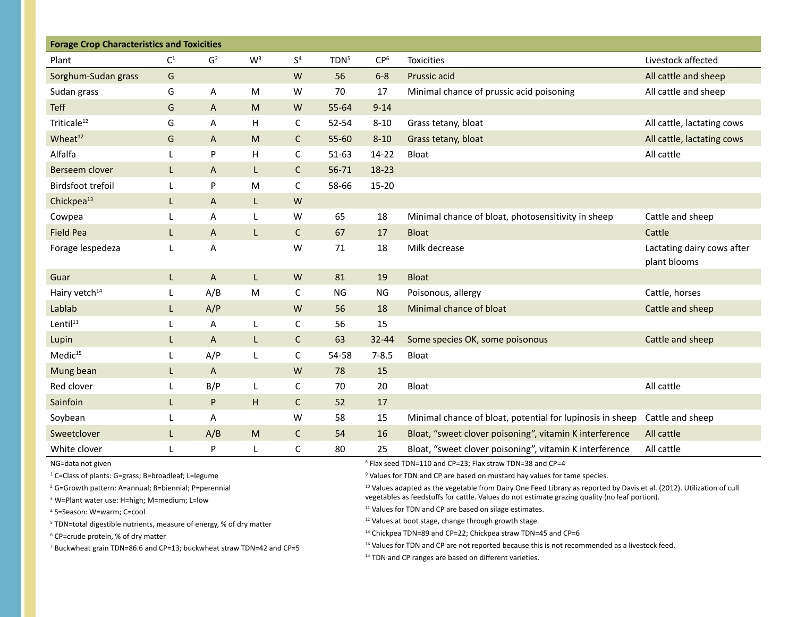| <b>Forage Crop Characteristics and Toxicities</b> |                |                           |       |                |                  |                 |                                                           |                                            |  |  |
|---------------------------------------------------|----------------|---------------------------|-------|----------------|------------------|-----------------|-----------------------------------------------------------|--------------------------------------------|--|--|
| Plant                                             | $\mathsf{C}^1$ | G <sup>2</sup>            | $W^3$ | $\mathsf{S}^4$ | TDN <sup>5</sup> | CP <sup>6</sup> | <b>Toxicities</b>                                         | Livestock affected                         |  |  |
| Sorghum-Sudan grass                               | G              |                           |       | W              | 56               | $6 - 8$         | Prussic acid                                              | All cattle and sheep                       |  |  |
| Sudan grass                                       | G              | A                         | M     | W              | 70               | 17              | Minimal chance of prussic acid poisoning                  | All cattle and sheep                       |  |  |
| Teff                                              | G              | A                         | M     | ${\sf W}$      | 55-64            | $9 - 14$        |                                                           |                                            |  |  |
| Triticale <sup>12</sup>                           | G              | A                         | H     | $\mathsf C$    | 52-54            | $8 - 10$        | Grass tetany, bloat                                       | All cattle, lactating cows                 |  |  |
| Wheat <sup>12</sup>                               | G              | $\overline{A}$            | M     | $\mathsf{C}$   | $55 - 60$        | $8 - 10$        | Grass tetany, bloat                                       | All cattle, lactating cows                 |  |  |
| Alfalfa                                           | L              | ${\sf P}$                 | Н     | $\mathsf C$    | $51 - 63$        | 14-22           | <b>Bloat</b>                                              | All cattle                                 |  |  |
| Berseem clover                                    | L              | $\overline{A}$            | L     | $\mathsf C$    | $56 - 71$        | 18-23           |                                                           |                                            |  |  |
| Birdsfoot trefoil                                 |                | P                         | M     | C              | 58-66            | $15 - 20$       |                                                           |                                            |  |  |
| Chickpea <sup>13</sup>                            | L              | $\boldsymbol{\mathsf{A}}$ | L     | W              |                  |                 |                                                           |                                            |  |  |
| Cowpea                                            |                | A                         | L     | W              | 65               | 18              | Minimal chance of bloat, photosensitivity in sheep        | Cattle and sheep                           |  |  |
| <b>Field Pea</b>                                  | L              | $\overline{A}$            | L     | $\mathsf{C}$   | 67               | 17              | <b>Bloat</b>                                              | Cattle                                     |  |  |
| Forage lespedeza                                  | L              | A                         |       | W              | 71               | 18              | Milk decrease                                             | Lactating dairy cows after<br>plant blooms |  |  |
| Guar                                              | L.             | A                         | L     | W              | 81               | 19              | <b>Bloat</b>                                              |                                            |  |  |
| Hairy vetch <sup>14</sup>                         | L              | A/B                       | M     | C              | NG               | ΝG              | Poisonous, allergy                                        | Cattle, horses                             |  |  |
| Lablab                                            | L              | A/P                       |       | ${\sf W}$      | 56               | 18              | Minimal chance of bloat                                   | Cattle and sheep                           |  |  |
| Lentil <sup>11</sup>                              |                | Α                         | L     | $\mathsf C$    | 56               | 15              |                                                           |                                            |  |  |
| Lupin                                             | L              | $\overline{A}$            | L     | $\mathsf{C}$   | 63               | 32-44           | Some species OK, some poisonous                           | Cattle and sheep                           |  |  |
| Medic <sup>15</sup>                               | L.             | A/P                       | L     | $\mathsf C$    | 54-58            | $7 - 8.5$       | Bloat                                                     |                                            |  |  |
| Mung bean                                         | L              | $\overline{A}$            |       | W              | 78               | 15              |                                                           |                                            |  |  |
| Red clover                                        |                | B/P                       | L     | C              | 70               | 20              | <b>Bloat</b>                                              | All cattle                                 |  |  |
| Sainfoin                                          | L.             | P                         | H     | $\mathsf{C}$   | 52               | $17$            |                                                           |                                            |  |  |
| Soybean                                           | L.             | Α                         |       | W              | 58               | 15              | Minimal chance of bloat, potential for lupinosis in sheep | Cattle and sheep                           |  |  |
| Sweetclover                                       | L              | A/B                       | M     | $\mathsf{C}$   | 54               | 16              | Bloat, "sweet clover poisoning", vitamin K interference   | All cattle                                 |  |  |
| White clover                                      |                | P                         | L     | $\mathsf C$    | 80               | 25              | Bloat, "sweet clover poisoning", vitamin K interference   | All cattle                                 |  |  |

NG=data not given

1 C=Class of plants: G=grass; B=broadleaf; L=legume

2 G=Growth pattern: A=annual; B=biennial; P=perennial

3 W=Plant water use: H=high; M=medium; L=low

<sup>4</sup> S=Season: W=warm; C=cool

<sup>5</sup> TDN=total digestible nutrients, measure of energy, % of dry matter

6 CP=crude protein, % of dry matter

7 Buckwheat grain TDN=86.6 and CP=13; buckwheat straw TDN=42 and CP=5

8 Flax seed TDN=110 and CP=23; Flax straw TDN=38 and CP=4

<sup>9</sup> Values for TDN and CP are based on mustard hay values for tame species.

10 Values adapted as the vegetable from Dairy One Feed Library as reported by Davis et al. (2012). Utilization of cull vegetables as feedstuffs for cattle. Values do not estimate grazing quality (no leaf portion).

<sup>11</sup> Values for TDN and CP are based on silage estimates.

<sup>12</sup> Values at boot stage, change through growth stage.

<sup>13</sup> Chickpea TDN=89 and CP=22; Chickpea straw TDN=45 and CP=6

<sup>14</sup> Values for TDN and CP are not reported because this is not recommended as a livestock feed.

<sup>15</sup> TDN and CP ranges are based on different varieties.